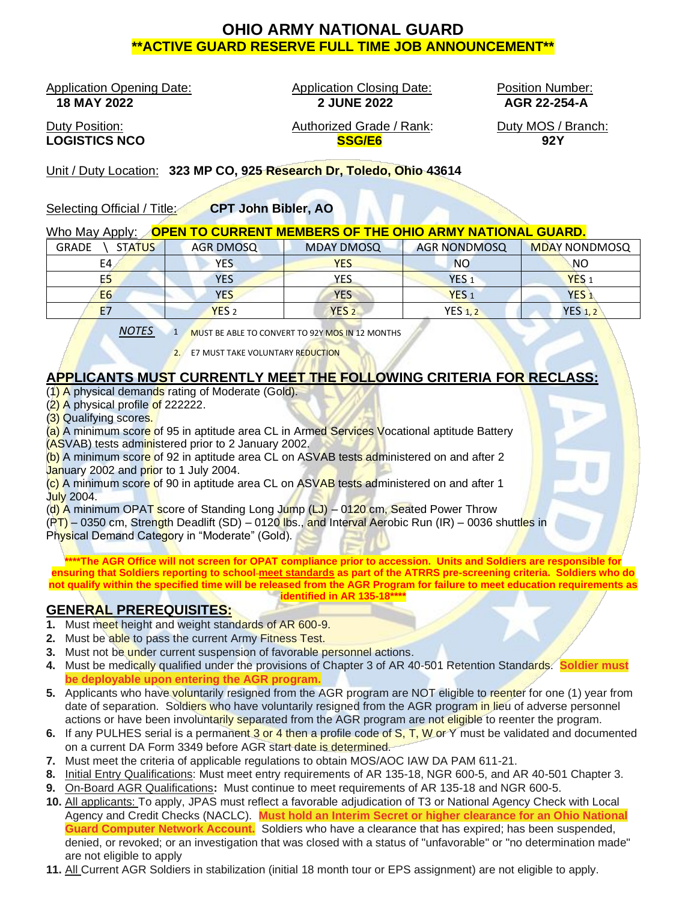# **OHIO ARMY NATIONAL GUARD \*\*ACTIVE GUARD RESERVE FULL TIME JOB ANNOUNCEMENT\*\***

Application Opening Date: Application Closing Date: Position Number:<br>18 MAY 2022 254-A<br>2 JUNE 2022 222 AGR 22-254-A

 **18 MAY 2022 2 JUNE 2022 AGR 22-254-A**

Duty Position: **Authorized Grade / Rank:** Duty MOS / Branch: **LOGISTICS NCO SSG/E6 92Y**

Unit / Duty Location: **323 MP CO, 925 Research Dr, Toledo, Ohio 43614**

Selecting Official / Title: **CPT John Bibler, AO**

#### Who May Apply: **OPEN TO CURRENT MEMBERS OF THE OHIO ARMY NATIONAL GUARD.**

| <b>GRADE</b><br><b>STATUS</b> | <b>AGR DMOSQ</b> | <b>MDAY DMOSQ</b> | <b>AGR NONDMOSQ</b> | <b>MDAY NONDMOSQ</b> |
|-------------------------------|------------------|-------------------|---------------------|----------------------|
| E4                            | <b>YES</b>       | YES               | <b>NO</b>           | NO.                  |
| E5                            | <b>YES</b>       | YES               | YES <sub>1</sub>    | YES <sub>1</sub>     |
| E <sub>6</sub>                | <b>YES</b>       | <b>YES</b>        | YES <sub>1</sub>    | <b>YES</b>           |
| E <sub>7</sub>                | YES <sub>2</sub> | YES <sub>2</sub>  | <b>YES 1.2</b>      | <b>YES 1, 2</b>      |

*NOTES* 1 MUST BE ABLE TO CONVERT TO 92Y MOS IN 12 MONTHS

2. E7 MUST TAKE VOLUNTARY REDUCTION

### **APPLICANTS MUST CURRENTLY MEET THE FOLLOWING CRITERIA FOR RECLASS:**

- (1) A physical demands rating of Moderate (Gold).
- $(2)$  A physical profile of 222222.
- (3) Qualifying scores.

(a) A minimum score of 95 in aptitude area CL in Armed Services Vocational aptitude Battery (ASVAB) tests administered prior to 2 January 2002.

(b) A minimum score of 92 in aptitude area CL on ASVAB tests administered on and after 2 January 2002 and prior to 1 July 2004.

(c) A minimum score of 90 in aptitude area CL on ASVAB tests administered on and after 1 July 2004.

(d) A minimum OPAT score of Standing Long Jump (LJ) – 0120 cm, Seated Power Throw

(PT) – 0350 cm, Strength Deadlift (SD) – 0120 lbs., and Interval Aerobic Run (IR) – 0036 shuttles in Physical Demand Category in "Moderate" (Gold).

**\*\*\*\*The AGR Office will not screen for OPAT compliance prior to accession. Units and Soldiers are responsible for ensuring that Soldiers reporting to school meet standards as part of the ATRRS pre-screening criteria. Soldiers who do not qualify within the specified time will be released from the AGR Program for failure to meet education requirements as identified in AR 135-18\*\*\*\***

### **GENERAL PREREQUISITES:**

- **1.** Must meet height and weight standards of AR 600-9.
- **2.** Must be able to pass the current Army Fitness Test.
- **3.** Must not be under current suspension of favorable personnel actions.
- **4.** Must be medically qualified under the provisions of Chapter 3 of AR 40-501 Retention Standards. **Soldier must be deployable upon entering the AGR program.**
- **5.** Applicants who have voluntarily resigned from the AGR program are NOT eligible to reenter for one (1) year from date of separation. Soldiers who have voluntarily resigned from the AGR program in lieu of adverse personnel actions or have been involuntarily separated from the AGR program are not eligible to reenter the program.
- **6.** If any PULHES serial is a permanent 3 or 4 then a profile code of S, T, W or Y must be validated and documented on a current DA Form 3349 before AGR start date is determined.
- **7.** Must meet the criteria of applicable regulations to obtain MOS/AOC IAW DA PAM 611-21.
- **8.** Initial Entry Qualifications: Must meet entry requirements of AR 135-18, NGR 600-5, and AR 40-501 Chapter 3.
- **9.** On-Board AGR Qualifications**:** Must continue to meet requirements of AR 135-18 and NGR 600-5.
- **10.** All applicants: To apply, JPAS must reflect a favorable adjudication of T3 or National Agency Check with Local Agency and Credit Checks (NACLC). **Must hold an Interim Secret or higher clearance for an Ohio National Guard Computer Network Account.** Soldiers who have a clearance that has expired; has been suspended, denied, or revoked; or an investigation that was closed with a status of "unfavorable" or "no determination made" are not eligible to apply
- **11.** All Current AGR Soldiers in stabilization (initial 18 month tour or EPS assignment) are not eligible to apply.